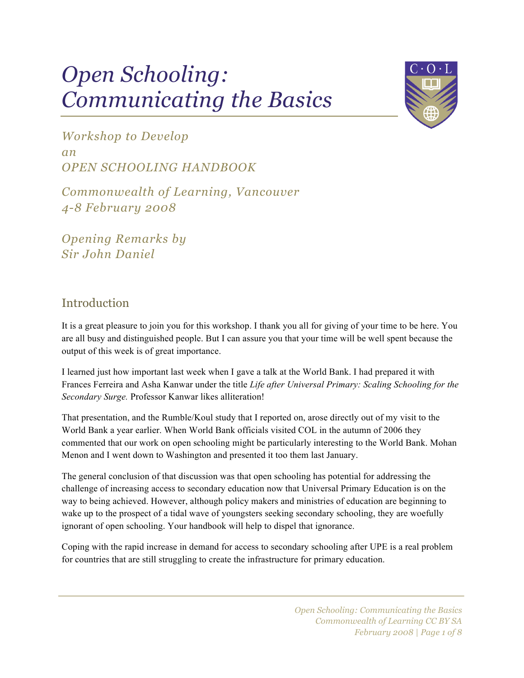# *Open Schooling: Communicating the Basics*



*Workshop to Develop an OPEN SCHOOLING HANDBOOK*

*Commonwealth of Learning, Vancouver 4-8 February 2008*

*Opening Remarks by Sir John Daniel*

## Introduction

It is a great pleasure to join you for this workshop. I thank you all for giving of your time to be here. You are all busy and distinguished people. But I can assure you that your time will be well spent because the output of this week is of great importance.

I learned just how important last week when I gave a talk at the World Bank. I had prepared it with Frances Ferreira and Asha Kanwar under the title *Life after Universal Primary: Scaling Schooling for the Secondary Surge.* Professor Kanwar likes alliteration!

That presentation, and the Rumble/Koul study that I reported on, arose directly out of my visit to the World Bank a year earlier. When World Bank officials visited COL in the autumn of 2006 they commented that our work on open schooling might be particularly interesting to the World Bank. Mohan Menon and I went down to Washington and presented it too them last January.

The general conclusion of that discussion was that open schooling has potential for addressing the challenge of increasing access to secondary education now that Universal Primary Education is on the way to being achieved. However, although policy makers and ministries of education are beginning to wake up to the prospect of a tidal wave of youngsters seeking secondary schooling, they are woefully ignorant of open schooling. Your handbook will help to dispel that ignorance.

Coping with the rapid increase in demand for access to secondary schooling after UPE is a real problem for countries that are still struggling to create the infrastructure for primary education.

> *Open Schooling: Communicating the Basics Commonwealth of Learning CC BY SA February 2008 | Page 1 of 8*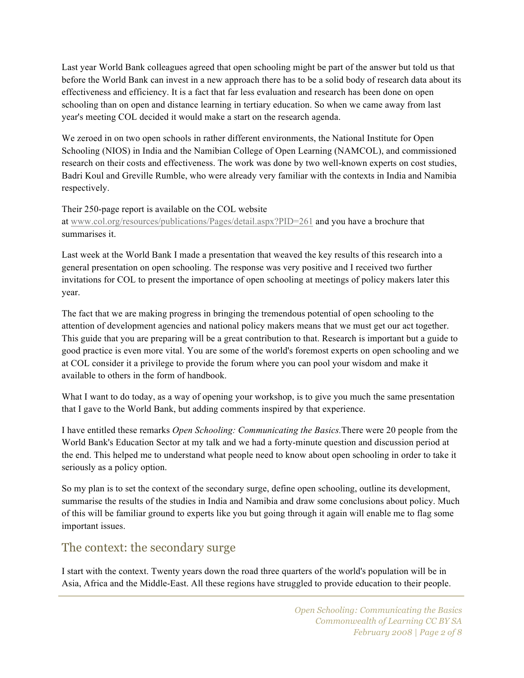Last year World Bank colleagues agreed that open schooling might be part of the answer but told us that before the World Bank can invest in a new approach there has to be a solid body of research data about its effectiveness and efficiency. It is a fact that far less evaluation and research has been done on open schooling than on open and distance learning in tertiary education. So when we came away from last year's meeting COL decided it would make a start on the research agenda.

We zeroed in on two open schools in rather different environments, the National Institute for Open Schooling (NIOS) in India and the Namibian College of Open Learning (NAMCOL), and commissioned research on their costs and effectiveness. The work was done by two well-known experts on cost studies, Badri Koul and Greville Rumble, who were already very familiar with the contexts in India and Namibia respectively.

#### Their 250-page report is available on the COL website

at www.col.org/resources/publications/Pages/detail.aspx?PID=261 and you have a brochure that summarises it.

Last week at the World Bank I made a presentation that weaved the key results of this research into a general presentation on open schooling. The response was very positive and I received two further invitations for COL to present the importance of open schooling at meetings of policy makers later this year.

The fact that we are making progress in bringing the tremendous potential of open schooling to the attention of development agencies and national policy makers means that we must get our act together. This guide that you are preparing will be a great contribution to that. Research is important but a guide to good practice is even more vital. You are some of the world's foremost experts on open schooling and we at COL consider it a privilege to provide the forum where you can pool your wisdom and make it available to others in the form of handbook.

What I want to do today, as a way of opening your workshop, is to give you much the same presentation that I gave to the World Bank, but adding comments inspired by that experience.

I have entitled these remarks *Open Schooling: Communicating the Basics.*There were 20 people from the World Bank's Education Sector at my talk and we had a forty-minute question and discussion period at the end. This helped me to understand what people need to know about open schooling in order to take it seriously as a policy option.

So my plan is to set the context of the secondary surge, define open schooling, outline its development, summarise the results of the studies in India and Namibia and draw some conclusions about policy. Much of this will be familiar ground to experts like you but going through it again will enable me to flag some important issues.

#### The context: the secondary surge

I start with the context. Twenty years down the road three quarters of the world's population will be in Asia, Africa and the Middle-East. All these regions have struggled to provide education to their people.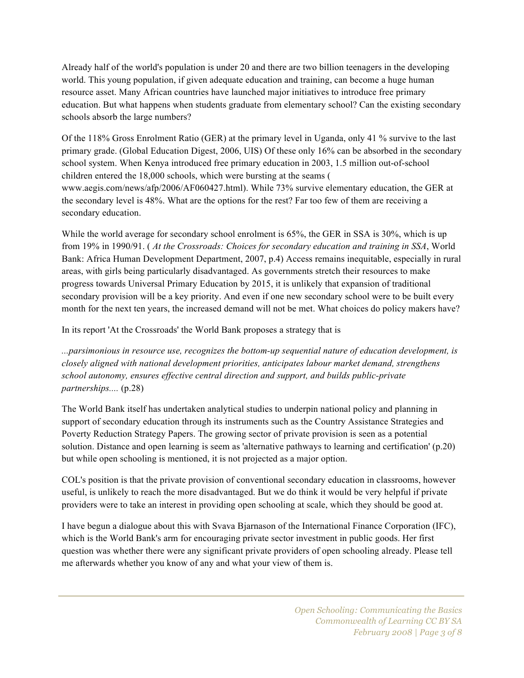Already half of the world's population is under 20 and there are two billion teenagers in the developing world. This young population, if given adequate education and training, can become a huge human resource asset. Many African countries have launched major initiatives to introduce free primary education. But what happens when students graduate from elementary school? Can the existing secondary schools absorb the large numbers?

Of the 118% Gross Enrolment Ratio (GER) at the primary level in Uganda, only 41 % survive to the last primary grade. (Global Education Digest, 2006, UIS) Of these only 16% can be absorbed in the secondary school system. When Kenya introduced free primary education in 2003, 1.5 million out-of-school children entered the 18,000 schools, which were bursting at the seams ( www.aegis.com/news/afp/2006/AF060427.html). While 73% survive elementary education, the GER at the secondary level is 48%. What are the options for the rest? Far too few of them are receiving a secondary education.

While the world average for secondary school enrolment is 65%, the GER in SSA is 30%, which is up from 19% in 1990/91. ( *At the Crossroads: Choices for secondary education and training in SSA*, World Bank: Africa Human Development Department, 2007, p.4) Access remains inequitable, especially in rural areas, with girls being particularly disadvantaged. As governments stretch their resources to make progress towards Universal Primary Education by 2015, it is unlikely that expansion of traditional secondary provision will be a key priority. And even if one new secondary school were to be built every month for the next ten years, the increased demand will not be met. What choices do policy makers have?

In its report 'At the Crossroads' the World Bank proposes a strategy that is

*...parsimonious in resource use, recognizes the bottom-up sequential nature of education development, is closely aligned with national development priorities, anticipates labour market demand, strengthens school autonomy, ensures effective central direction and support, and builds public-private partnerships....* (p.28)

The World Bank itself has undertaken analytical studies to underpin national policy and planning in support of secondary education through its instruments such as the Country Assistance Strategies and Poverty Reduction Strategy Papers. The growing sector of private provision is seen as a potential solution. Distance and open learning is seem as 'alternative pathways to learning and certification' (p.20) but while open schooling is mentioned, it is not projected as a major option.

COL's position is that the private provision of conventional secondary education in classrooms, however useful, is unlikely to reach the more disadvantaged. But we do think it would be very helpful if private providers were to take an interest in providing open schooling at scale, which they should be good at.

I have begun a dialogue about this with Svava Bjarnason of the International Finance Corporation (IFC), which is the World Bank's arm for encouraging private sector investment in public goods. Her first question was whether there were any significant private providers of open schooling already. Please tell me afterwards whether you know of any and what your view of them is.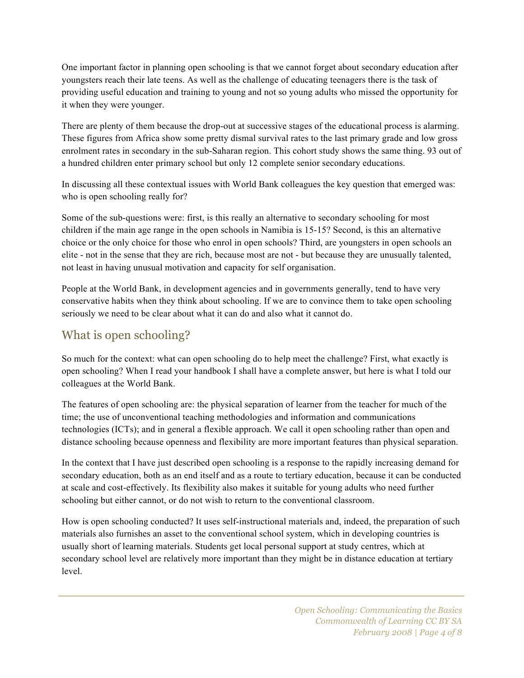One important factor in planning open schooling is that we cannot forget about secondary education after youngsters reach their late teens. As well as the challenge of educating teenagers there is the task of providing useful education and training to young and not so young adults who missed the opportunity for it when they were younger.

There are plenty of them because the drop-out at successive stages of the educational process is alarming. These figures from Africa show some pretty dismal survival rates to the last primary grade and low gross enrolment rates in secondary in the sub-Saharan region. This cohort study shows the same thing. 93 out of a hundred children enter primary school but only 12 complete senior secondary educations.

In discussing all these contextual issues with World Bank colleagues the key question that emerged was: who is open schooling really for?

Some of the sub-questions were: first, is this really an alternative to secondary schooling for most children if the main age range in the open schools in Namibia is 15-15? Second, is this an alternative choice or the only choice for those who enrol in open schools? Third, are youngsters in open schools an elite - not in the sense that they are rich, because most are not - but because they are unusually talented, not least in having unusual motivation and capacity for self organisation.

People at the World Bank, in development agencies and in governments generally, tend to have very conservative habits when they think about schooling. If we are to convince them to take open schooling seriously we need to be clear about what it can do and also what it cannot do.

## What is open schooling?

So much for the context: what can open schooling do to help meet the challenge? First, what exactly is open schooling? When I read your handbook I shall have a complete answer, but here is what I told our colleagues at the World Bank.

The features of open schooling are: the physical separation of learner from the teacher for much of the time; the use of unconventional teaching methodologies and information and communications technologies (ICTs); and in general a flexible approach. We call it open schooling rather than open and distance schooling because openness and flexibility are more important features than physical separation.

In the context that I have just described open schooling is a response to the rapidly increasing demand for secondary education, both as an end itself and as a route to tertiary education, because it can be conducted at scale and cost-effectively. Its flexibility also makes it suitable for young adults who need further schooling but either cannot, or do not wish to return to the conventional classroom.

How is open schooling conducted? It uses self-instructional materials and, indeed, the preparation of such materials also furnishes an asset to the conventional school system, which in developing countries is usually short of learning materials. Students get local personal support at study centres, which at secondary school level are relatively more important than they might be in distance education at tertiary level.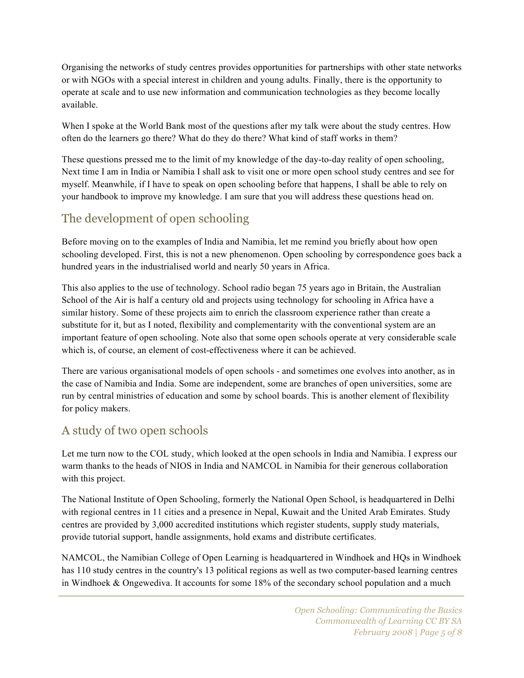Organising the networks of study centres provides opportunities for partnerships with other state networks or with NGOs with a special interest in children and young adults. Finally, there is the opportunity to operate at scale and to use new information and communication technologies as they become locally available.

When I spoke at the World Bank most of the questions after my talk were about the study centres. How often do the learners go there? What do they do there? What kind of staff works in them?

These questions pressed me to the limit of my knowledge of the day-to-day reality of open schooling, Next time I am in India or Namibia I shall ask to visit one or more open school study centres and see for myself. Meanwhile, if I have to speak on open schooling before that happens, I shall be able to rely on your handbook to improve my knowledge. I am sure that you will address these questions head on.

## The development of open schooling

Before moving on to the examples of India and Namibia, let me remind you briefly about how open schooling developed. First, this is not a new phenomenon. Open schooling by correspondence goes back a hundred years in the industrialised world and nearly 50 years in Africa.

This also applies to the use of technology. School radio began 75 years ago in Britain, the Australian School of the Air is half a century old and projects using technology for schooling in Africa have a similar history. Some of these projects aim to enrich the classroom experience rather than create a substitute for it, but as I noted, flexibility and complementarity with the conventional system are an important feature of open schooling. Note also that some open schools operate at very considerable scale which is, of course, an element of cost-effectiveness where it can be achieved.

There are various organisational models of open schools - and sometimes one evolves into another, as in the case of Namibia and India. Some are independent, some are branches of open universities, some are run by central ministries of education and some by school boards. This is another element of flexibility for policy makers.

## A study of two open schools

Let me turn now to the COL study, which looked at the open schools in India and Namibia. I express our warm thanks to the heads of NIOS in India and NAMCOL in Namibia for their generous collaboration with this project.

The National Institute of Open Schooling, formerly the National Open School, is headquartered in Delhi with regional centres in 11 cities and a presence in Nepal, Kuwait and the United Arab Emirates. Study centres are provided by 3,000 accredited institutions which register students, supply study materials, provide tutorial support, handle assignments, hold exams and distribute certificates.

NAMCOL, the Namibian College of Open Learning is headquartered in Windhoek and HQs in Windhoek has 110 study centres in the country's 13 political regions as well as two computer-based learning centres in Windhoek & Ongewediva. It accounts for some 18% of the secondary school population and a much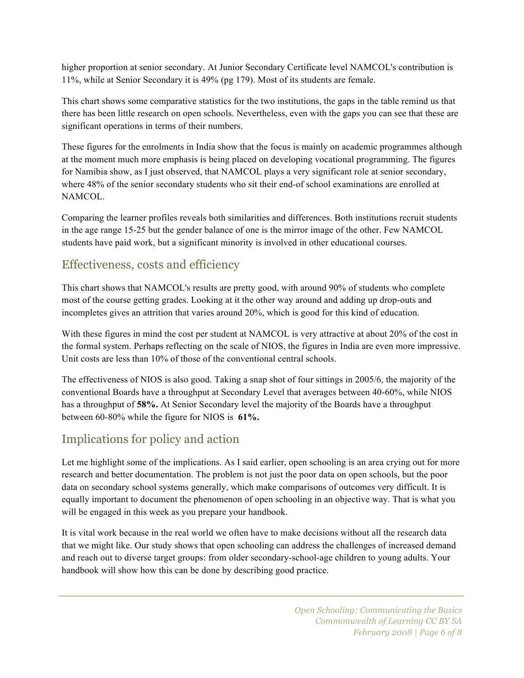higher proportion at senior secondary. At Junior Secondary Certificate level NAMCOL's contribution is 11%, while at Senior Secondary it is 49% (pg 179). Most of its students are female.

This chart shows some comparative statistics for the two institutions, the gaps in the table remind us that there has been little research on open schools. Nevertheless, even with the gaps you can see that these are significant operations in terms of their numbers.

These figures for the enrolments in India show that the focus is mainly on academic programmes although at the moment much more emphasis is being placed on developing vocational programming. The figures for Namibia show, as I just observed, that NAMCOL plays a very significant role at senior secondary, where 48% of the senior secondary students who sit their end-of school examinations are enrolled at NAMCOL.

Comparing the learner profiles reveals both similarities and differences. Both institutions recruit students in the age range 15-25 but the gender balance of one is the mirror image of the other. Few NAMCOL students have paid work, but a significant minority is involved in other educational courses.

#### Effectiveness, costs and efficiency

This chart shows that NAMCOL's results are pretty good, with around 90% of students who complete most of the course getting grades. Looking at it the other way around and adding up drop-outs and incompletes gives an attrition that varies around 20%, which is good for this kind of education.

With these figures in mind the cost per student at NAMCOL is very attractive at about 20% of the cost in the formal system. Perhaps reflecting on the scale of NIOS, the figures in India are even more impressive. Unit costs are less than 10% of those of the conventional central schools.

The effectiveness of NIOS is also good. Taking a snap shot of four sittings in 2005/6, the majority of the conventional Boards have a throughput at Secondary Level that averages between 40-60%, while NIOS has a throughput of **58%.** At Senior Secondary level the majority of the Boards have a throughput between 60-80% while the figure for NIOS is **61%.**

## Implications for policy and action

Let me highlight some of the implications. As I said earlier, open schooling is an area crying out for more research and better documentation. The problem is not just the poor data on open schools, but the poor data on secondary school systems generally, which make comparisons of outcomes very difficult. It is equally important to document the phenomenon of open schooling in an objective way. That is what you will be engaged in this week as you prepare your handbook.

It is vital work because in the real world we often have to make decisions without all the research data that we might like. Our study shows that open schooling can address the challenges of increased demand and reach out to diverse target groups: from older secondary-school-age children to young adults. Your handbook will show how this can be done by describing good practice.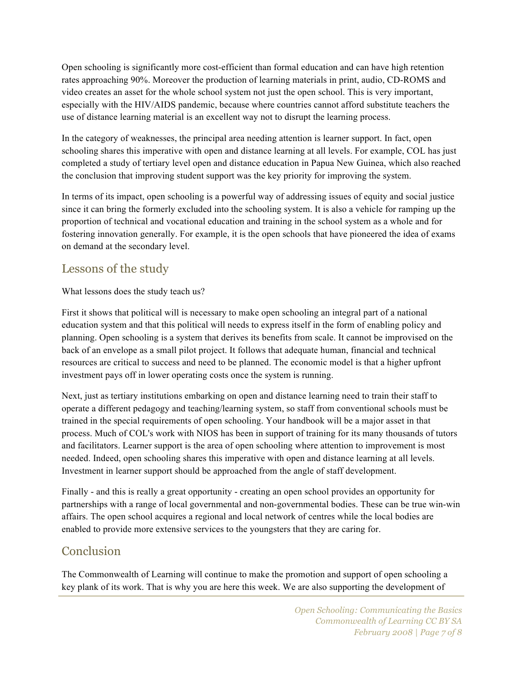Open schooling is significantly more cost-efficient than formal education and can have high retention rates approaching 90%. Moreover the production of learning materials in print, audio, CD-ROMS and video creates an asset for the whole school system not just the open school. This is very important, especially with the HIV/AIDS pandemic, because where countries cannot afford substitute teachers the use of distance learning material is an excellent way not to disrupt the learning process.

In the category of weaknesses, the principal area needing attention is learner support. In fact, open schooling shares this imperative with open and distance learning at all levels. For example, COL has just completed a study of tertiary level open and distance education in Papua New Guinea, which also reached the conclusion that improving student support was the key priority for improving the system.

In terms of its impact, open schooling is a powerful way of addressing issues of equity and social justice since it can bring the formerly excluded into the schooling system. It is also a vehicle for ramping up the proportion of technical and vocational education and training in the school system as a whole and for fostering innovation generally. For example, it is the open schools that have pioneered the idea of exams on demand at the secondary level.

#### Lessons of the study

What lessons does the study teach us?

First it shows that political will is necessary to make open schooling an integral part of a national education system and that this political will needs to express itself in the form of enabling policy and planning. Open schooling is a system that derives its benefits from scale. It cannot be improvised on the back of an envelope as a small pilot project. It follows that adequate human, financial and technical resources are critical to success and need to be planned. The economic model is that a higher upfront investment pays off in lower operating costs once the system is running.

Next, just as tertiary institutions embarking on open and distance learning need to train their staff to operate a different pedagogy and teaching/learning system, so staff from conventional schools must be trained in the special requirements of open schooling. Your handbook will be a major asset in that process. Much of COL's work with NIOS has been in support of training for its many thousands of tutors and facilitators. Learner support is the area of open schooling where attention to improvement is most needed. Indeed, open schooling shares this imperative with open and distance learning at all levels. Investment in learner support should be approached from the angle of staff development.

Finally - and this is really a great opportunity - creating an open school provides an opportunity for partnerships with a range of local governmental and non-governmental bodies. These can be true win-win affairs. The open school acquires a regional and local network of centres while the local bodies are enabled to provide more extensive services to the youngsters that they are caring for.

#### Conclusion

The Commonwealth of Learning will continue to make the promotion and support of open schooling a key plank of its work. That is why you are here this week. We are also supporting the development of